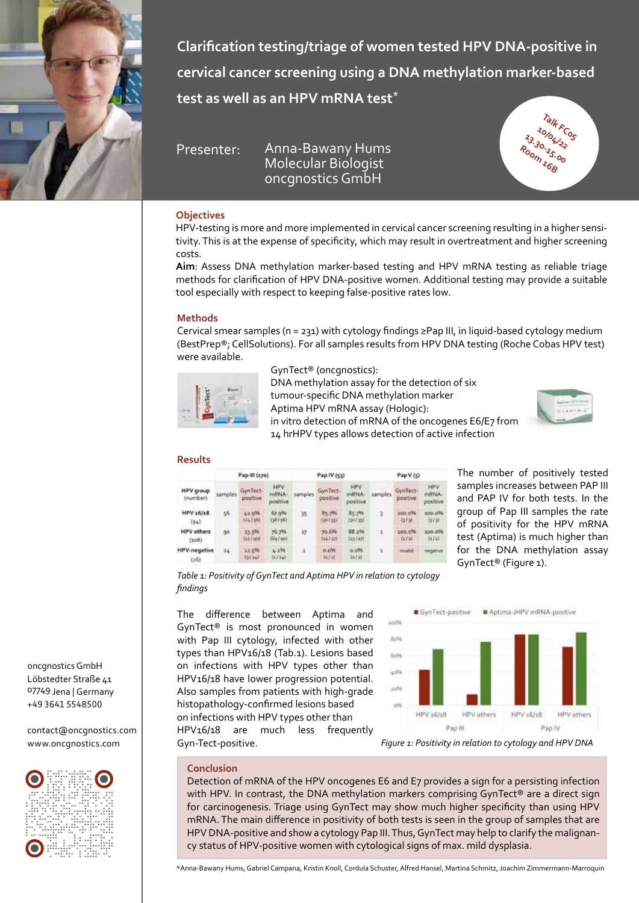

**Clarification testing/triage of women tested HPV DNA-positive in cervical cancer screening using a DNA methylation marker-based test as well as an HPV mRNA test\***

Presenter: Anna-Bawany Hums Molecular Biologist oncgnostics GmbH



# **Objectives**

HPV-testing is more and more implemented in cervical cancer screening resulting in a higher sensitivity. This is at the expense of specificity, which may result in overtreatment and higher screening costs.

**Aim**: Assess DNA methylation marker-based testing and HPV mRNA testing as reliable triage methods for clarification of HPV DNA-positive women. Additional testing may provide a suitable tool especially with respect to keeping false-positive rates low.

# **Methods**

Cervical smear samples ( $n = 231$ ) with cytology findings ≥Pap III, in liquid-based cytology medium (BestPrep®; CellSolutions). For all samples results from HPV DNA testing (Roche Cobas HPV test) were available.



GynTect® (oncgnostics): DNA methylation assay for the detection of six tumour-specific DNA methylation marker Aptima HPV mRNA assay (Hologic): in vitro detection of mRNA of the oncogenes E6/E7 from 14 hrHPV types allows detection of active infection



# **Results**

|                              | Pap III (170) |                      |                           | Pap IV (53) |                      |                                 | Pap V (5)    |                      |                                 |
|------------------------------|---------------|----------------------|---------------------------|-------------|----------------------|---------------------------------|--------------|----------------------|---------------------------------|
| <b>HPV</b> group<br>(number) | samples       | GynTect-<br>positive | HPV.<br>mRNA-<br>positive | samples.    | GynTect-<br>positive | <b>HPV</b><br>mRNA-<br>positive | samples      | GynTect-<br>positive | <b>HPV</b><br>mRNA-<br>positive |
| HPV 16/18<br>(94)            | 56            | 42.9%<br>(34156)     | 67.9%<br>(38/56)          | 35          | 85.7%<br>(30 / 35)   | 85.7%<br>(30/35)                | $3 -$        | 100.0%<br>(3.73)     | 100.0%<br>(3/3)                 |
| <b>HPV</b> others<br>(301)   | 90            | 13.3%<br>(12/60)     | 76.7%<br>(69/50)          | 17          | 70.6%<br>(11/17)     | BB.2%<br>(15/27)                | $\mathbf{1}$ | 100.0%<br>(1/1)      | 100.0%<br>(1/1)                 |
| <b>HPV-negative</b><br>(26)  | 24            | 12.5%<br>(1124)      | 4.296<br>(1111)           | $\lambda$   | $0.0\%$<br>0011      | 0.096<br>(6/2)                  | $\sim$       | invalid              | negative                        |

The number of positively tested samples increases between PAP III and PAP IV for both tests. In the group of Pap III samples the rate of positivity for the HPV mRNA test (Aptima) is much higher than for the DNA methylation assay GynTect® (Figure 1).

*Table 1: Positivity of GynTect and Aptima HPV in relation to cytology findings*

The difference between Aptima and GynTect® is most pronounced in women with Pap III cytology, infected with other types than HPV16/18 (Tab.1). Lesions based on infections with HPV types other than HPV16/18 have lower progression potential. Also samples from patients with high-grade histopathology-confirmed lesions based on infections with HPV types other than HPV16/18 are much less frequently



# **Conclusion**

Detection of mRNA of the HPV oncogenes E6 and E7 provides a sign for a persisting infection with HPV. In contrast, the DNA methylation markers comprising GynTect® are a direct sign for carcinogenesis. Triage using GynTect may show much higher specificity than using HPV mRNA. The main difference in positivity of both tests is seen in the group of samples that are HPV DNA-positive and show a cytology Pap III. Thus, GynTect may help to clarify the malignancy status of HPV-positive women with cytological signs of max. mild dysplasia.

Löbstedter Straße 41 07749 Jena | Germany +49 3641 5548500

oncgnostics GmbH

contact@oncgnostics.com www.oncgnostics.com



\*Anna-Bawany Hums, Gabriel Campana, Kristin Knoll, Cordula Schuster, Alfred Hansel, Martina Schmitz, Joachim Zimmermann-Marroquin